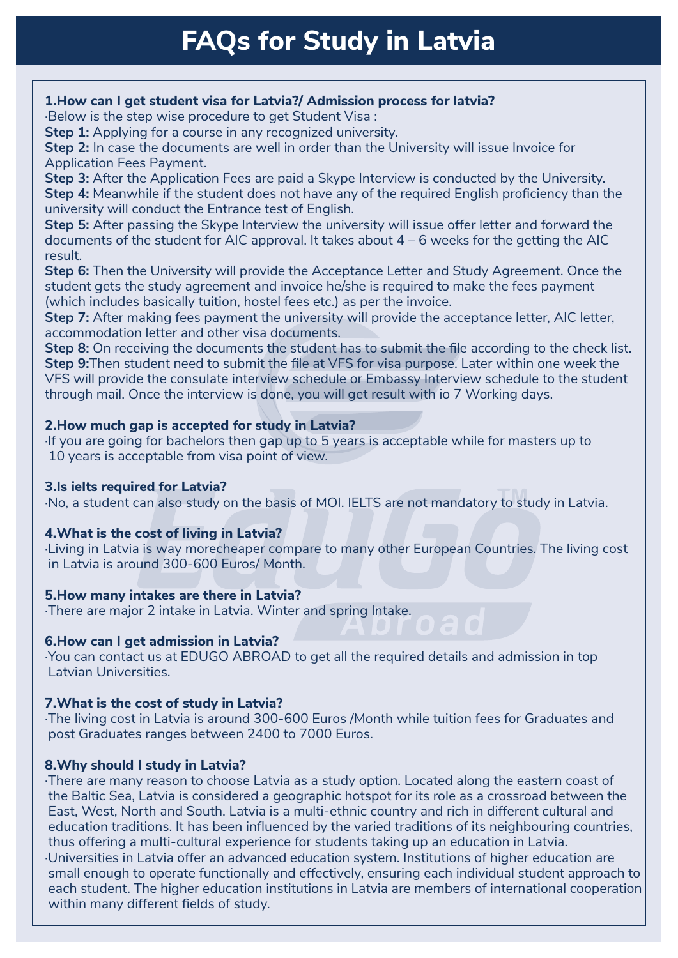# **FAQs for Study in Latvia**

## **1. How can I get student visa for Latvia?/ Admission process for latvia?**

·Below is the step wise procedure to get Student Visa :

**Step 1:** Applying for a course in any recognized university.

**Step 2:** In case the documents are well in order than the University will issue Invoice for Application Fees Payment.

**Step 3:** After the Application Fees are paid a Skype Interview is conducted by the University. **Step 4:** Meanwhile if the student does not have any of the required English proficiency than the university will conduct the Entrance test of English.

**Step 5:** After passing the Skype Interview the university will issue offer letter and forward the documents of the student for AIC approval. It takes about 4 – 6 weeks for the getting the AIC result.

**Step 6:** Then the University will provide the Acceptance Letter and Study Agreement. Once the student gets the study agreement and invoice he/she is required to make the fees payment (which includes basically tuition, hostel fees etc.) as per the invoice.

**Step 7:** After making fees payment the university will provide the acceptance letter, AIC letter, accommodation letter and other visa documents.

**Step 8:** On receiving the documents the student has to submit the file according to the check list. **Step 9:**Then student need to submit the file at VFS for visa purpose. Later within one week the VFS will provide the consulate interview schedule or Embassy Interview schedule to the student through mail. Once the interview is done, you will get result with io 7 Working days.

## **2. How much gap is accepted for study in Latvia?**

If you are going for bachelors then gap up to 5 years is acceptable while for masters up to 10 years is acceptable from visa point of view.

## **3. Is ielts required for Latvia?**

**3.15 Terts required for Eatvia:**<br>·No, a student can also study on the basis of MOI. IELTS are not mandatory to study in Latvia.

# **4. What is the cost of living in Latvia?**

·Living in Latvia is way morecheaper compare to many other European Countries. The living cost in Latvia is around 300-600 Euros/ Month.

# **5. How many intakes are there in Latvia?**

·There are major 2 intake in Latvia. Winter and spring Intake.

# **6. How can I get admission in Latvia?**

·You can contact us at EDUGO ABROAD to get all the required details and admission in top Latvian Universities.

# **7. What is the cost of study in Latvia?**

·The living cost in Latvia is around 300-600 Euros /Month while tuition fees for Graduates and post Graduates ranges between 2400 to 7000 Euros.

# **8. Why should I study in Latvia?**

·There are many reason to choose Latvia as a study option. Located along the eastern coast of the Baltic Sea, Latvia is considered a geographic hotspot for its role as a crossroad between the East, West, North and South. Latvia is a multi-ethnic country and rich in different cultural and education traditions. It has been influenced by the varied traditions of its neighbouring countries, thus offering a multi-cultural experience for students taking up an education in Latvia. ·Universities in Latvia offer an advanced education system. Institutions of higher education are small enough to operate functionally and effectively, ensuring each individual student approach to each student. The higher education institutions in Latvia are members of international cooperation within many different fields of study.